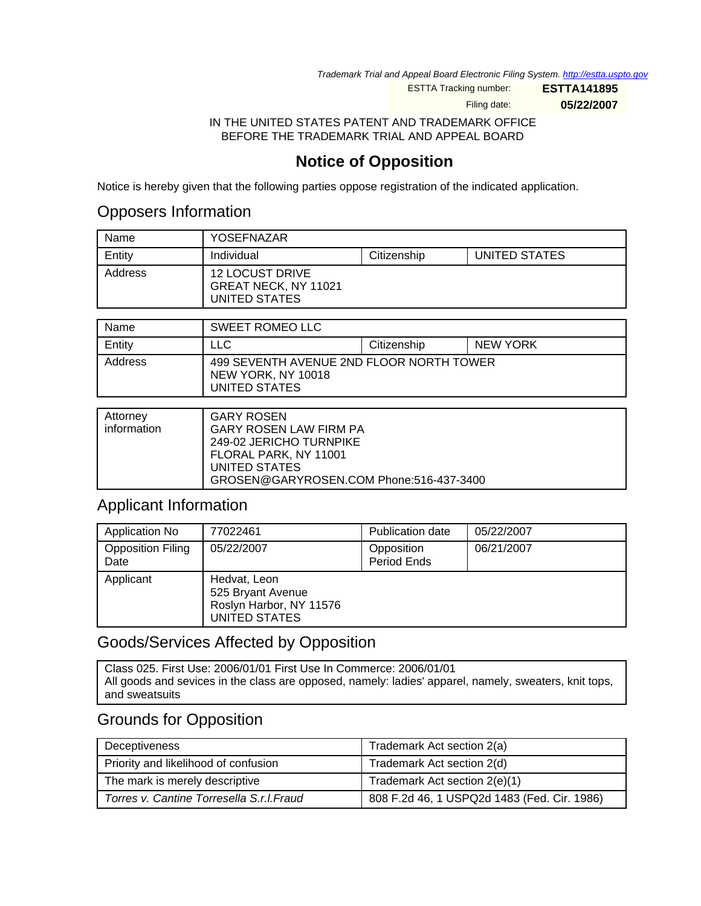Trademark Trial and Appeal Board Electronic Filing System. <http://estta.uspto.gov>

ESTTA Tracking number: **ESTTA141895**

Filing date: **05/22/2007**

IN THE UNITED STATES PATENT AND TRADEMARK OFFICE BEFORE THE TRADEMARK TRIAL AND APPEAL BOARD

## **Notice of Opposition**

Notice is hereby given that the following parties oppose registration of the indicated application.

## Opposers Information

| Name    | YOSEFNAZAR                                                      |             |               |
|---------|-----------------------------------------------------------------|-------------|---------------|
| Entity  | Individual                                                      | Citizenship | UNITED STATES |
| Address | <b>12 LOCUST DRIVE</b><br>GREAT NECK, NY 11021<br>UNITED STATES |             |               |

| Name    | <b>SWEET ROMEO LLC</b>                                                          |             |          |
|---------|---------------------------------------------------------------------------------|-------------|----------|
| Entity  | LLC                                                                             | Citizenship | NEW YORK |
| Address | 499 SEVENTH AVENUE 2ND FLOOR NORTH TOWER<br>NEW YORK, NY 10018<br>UNITED STATES |             |          |

| Attorney<br>information | <b>GARY ROSEN</b><br><b>GARY ROSEN LAW FIRM PA</b><br>249-02 JERICHO TURNPIKE<br>FLORAL PARK, NY 11001<br>UNITED STATES |
|-------------------------|-------------------------------------------------------------------------------------------------------------------------|
|                         | GROSEN@GARYROSEN.COM Phone:516-437-3400                                                                                 |

## Applicant Information

| Application No                   | 77022461                                                                      | <b>Publication date</b>   | 05/22/2007 |
|----------------------------------|-------------------------------------------------------------------------------|---------------------------|------------|
| <b>Opposition Filing</b><br>Date | 05/22/2007                                                                    | Opposition<br>Period Ends | 06/21/2007 |
| Applicant                        | Hedvat, Leon<br>525 Bryant Avenue<br>Roslyn Harbor, NY 11576<br>UNITED STATES |                           |            |

## Goods/Services Affected by Opposition

Class 025. First Use: 2006/01/01 First Use In Commerce: 2006/01/01 All goods and sevices in the class are opposed, namely: ladies' apparel, namely, sweaters, knit tops, and sweatsuits

## Grounds for Opposition

| Deceptiveness                             | Trademark Act section 2(a)                  |
|-------------------------------------------|---------------------------------------------|
| Priority and likelihood of confusion      | Trademark Act section 2(d)                  |
| The mark is merely descriptive            | Trademark Act section 2(e)(1)               |
| Torres v. Cantine Torresella S.r.l. Fraud | 808 F.2d 46, 1 USPQ2d 1483 (Fed. Cir. 1986) |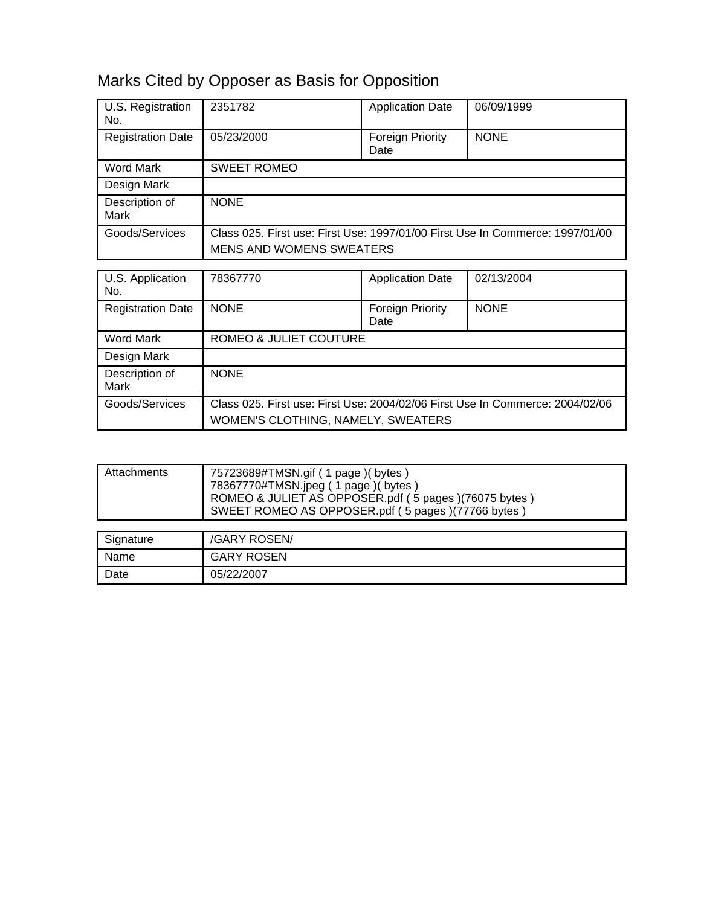## Marks Cited by Opposer as Basis for Opposition

| U.S. Registration<br>No. | 2351782                                                                                                             | <b>Application Date</b>  | 06/09/1999  |  |
|--------------------------|---------------------------------------------------------------------------------------------------------------------|--------------------------|-------------|--|
| <b>Registration Date</b> | 05/23/2000                                                                                                          | Foreign Priority<br>Date | <b>NONE</b> |  |
| Word Mark                | <b>SWEET ROMEO</b>                                                                                                  |                          |             |  |
| Design Mark              |                                                                                                                     |                          |             |  |
| Description of<br>Mark   | <b>NONE</b>                                                                                                         |                          |             |  |
| Goods/Services           | Class 025. First use: First Use: 1997/01/00 First Use In Commerce: 1997/01/00                                       |                          |             |  |
|                          | <b>MENS AND WOMENS SWEATERS</b>                                                                                     |                          |             |  |
|                          |                                                                                                                     |                          |             |  |
| U.S. Application<br>No.  | 78367770                                                                                                            | <b>Application Date</b>  | 02/13/2004  |  |
| <b>Registration Date</b> | <b>NONE</b>                                                                                                         | Foreign Priority<br>Date | <b>NONE</b> |  |
| <b>Word Mark</b>         | ROMEO & JULIET COUTURE                                                                                              |                          |             |  |
| Design Mark              |                                                                                                                     |                          |             |  |
| Description of<br>Mark   | <b>NONE</b>                                                                                                         |                          |             |  |
| Goods/Services           | Class 025. First use: First Use: 2004/02/06 First Use In Commerce: 2004/02/06<br>WOMEN'S CLOTHING, NAMELY, SWEATERS |                          |             |  |

| Attachments                 | 75723689#TMSN.gif (1 page) (bytes)<br>78367770#TMSN.jpeg (1 page) (bytes)<br>ROMEO & JULIET AS OPPOSER.pdf (5 pages)(76075 bytes)<br>SWEET ROMEO AS OPPOSER.pdf (5 pages)(77766 bytes) |
|-----------------------------|----------------------------------------------------------------------------------------------------------------------------------------------------------------------------------------|
|                             |                                                                                                                                                                                        |
| $\sim$ $\sim$ $\sim$ $\sim$ | (0.151150000111                                                                                                                                                                        |

| Signature | /GARY ROSEN/      |
|-----------|-------------------|
| Name      | <b>GARY ROSEN</b> |
| Date      | 05/22/2007        |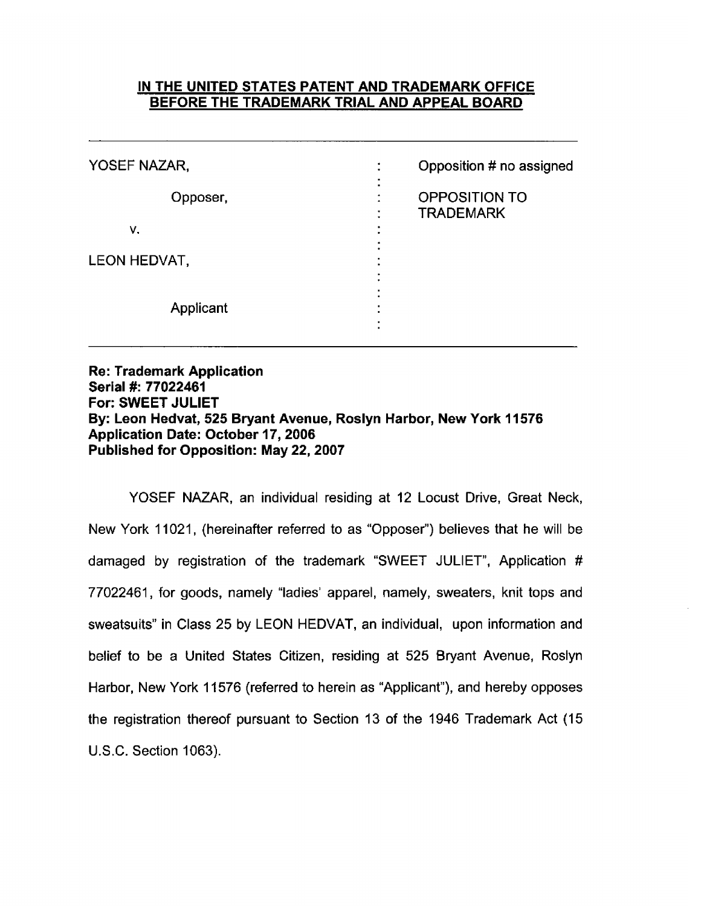### IN THE UNITED STATES PATENT AND TRADEMARK OFFICE BEFORE THE TRADEMARK TRIAL AND APPEAL BOARD

| YOSEF NAZAR, | Opposition # no assigned                              |
|--------------|-------------------------------------------------------|
| Opposer,     | OPPOSITION TO<br>٠<br>٠<br><b>TRADEMARK</b><br>٠<br>٠ |
| ۷.           | ٠<br>٠<br>٠                                           |
| LEON HEDVAT, | ٠                                                     |
| Applicant    |                                                       |

**Re: Trademark Application** Serial #: 77022461 For: SWEET JULIET By: Leon Hedvat, 525 Bryant Avenue, Roslyn Harbor, New York 11576 **Application Date: October 17, 2006** Published for Opposition: May 22, 2007

YOSEF NAZAR, an individual residing at 12 Locust Drive, Great Neck, New York 11021, (hereinafter referred to as "Opposer") believes that he will be damaged by registration of the trademark "SWEET JULIET", Application # 77022461, for goods, namely "ladies' apparel, namely, sweaters, knit tops and sweatsuits" in Class 25 by LEON HEDVAT, an individual, upon information and belief to be a United States Citizen, residing at 525 Bryant Avenue, Roslyn Harbor, New York 11576 (referred to herein as "Applicant"), and hereby opposes the registration thereof pursuant to Section 13 of the 1946 Trademark Act (15) U.S.C. Section 1063).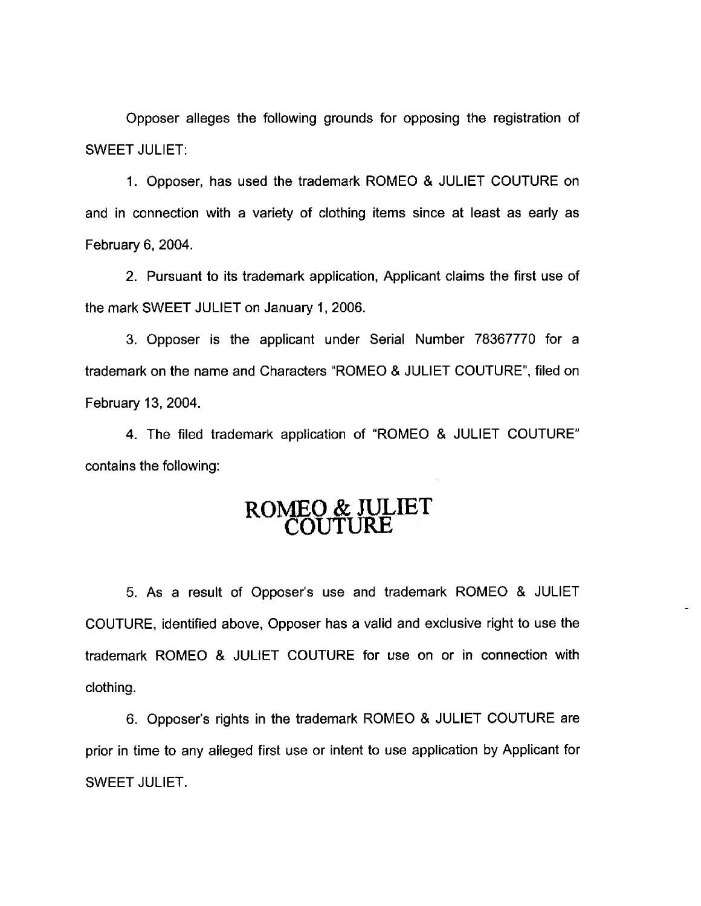Opposer alleges the following grounds for opposing the registration of **SWEET JULIET:** 

1. Opposer, has used the trademark ROMEO & JULIET COUTURE on and in connection with a variety of clothing items since at least as early as February 6, 2004.

2. Pursuant to its trademark application, Applicant claims the first use of the mark SWEET JULIET on January 1, 2006.

3. Opposer is the applicant under Serial Number 78367770 for a trademark on the name and Characters "ROMEO & JULIET COUTURE", filed on February 13, 2004.

4. The filed trademark application of "ROMEO & JULIET COUTURE" contains the following:

# ROMEO & JULIET

5. As a result of Opposer's use and trademark ROMEO & JULIET COUTURE, identified above, Opposer has a valid and exclusive right to use the trademark ROMEO & JULIET COUTURE for use on or in connection with clothing.

6. Opposer's rights in the trademark ROMEO & JULIET COUTURE are prior in time to any alleged first use or intent to use application by Applicant for **SWEET JULIET.**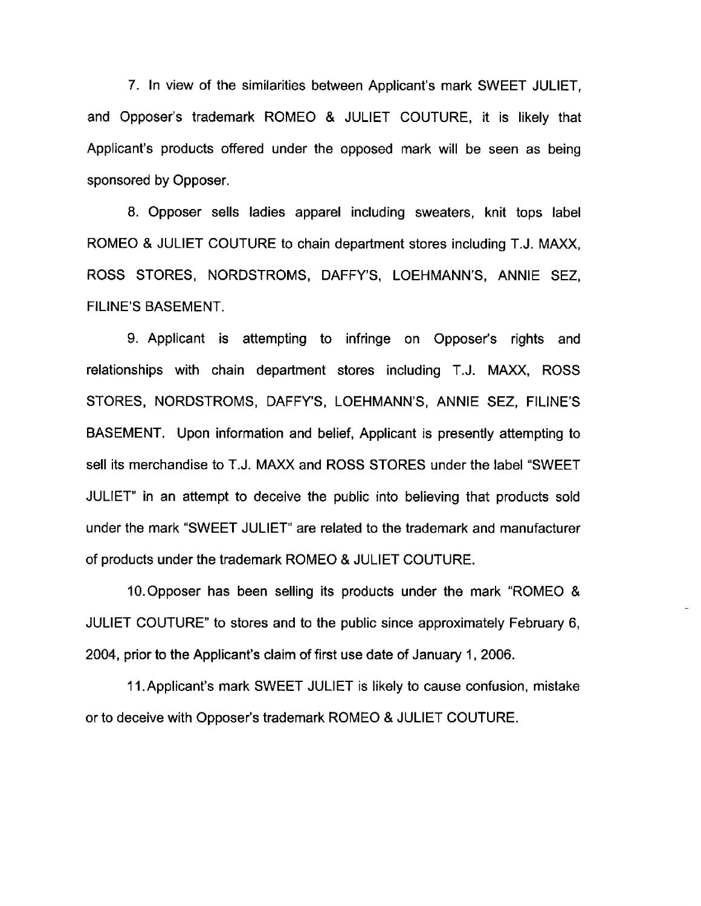7. In view of the similarities between Applicant's mark SWEET JULIET. and Opposer's trademark ROMEO & JULIET COUTURE, it is likely that Applicant's products offered under the opposed mark will be seen as being sponsored by Opposer.

8. Opposer sells ladies apparel including sweaters, knit tops label ROMEO & JULIET COUTURE to chain department stores including T.J. MAXX. ROSS STORES, NORDSTROMS, DAFFY'S, LOEHMANN'S, ANNIE SEZ, **FILINE'S BASEMENT.** 

9. Applicant is attempting to infringe on Opposer's rights and relationships with chain department stores including T.J. MAXX, ROSS STORES, NORDSTROMS, DAFFY'S, LOEHMANN'S, ANNIE SEZ, FILINE'S BASEMENT. Upon information and belief, Applicant is presently attempting to sell its merchandise to T.J. MAXX and ROSS STORES under the label "SWEET JULIET" in an attempt to deceive the public into believing that products sold under the mark "SWEET JULIET" are related to the trademark and manufacturer of products under the trademark ROMEO & JULIET COUTURE.

10. Opposer has been selling its products under the mark "ROMEO & JULIET COUTURE" to stores and to the public since approximately February 6, 2004, prior to the Applicant's claim of first use date of January 1, 2006.

11. Applicant's mark SWEET JULIET is likely to cause confusion, mistake or to deceive with Opposer's trademark ROMEO & JULIET COUTURE.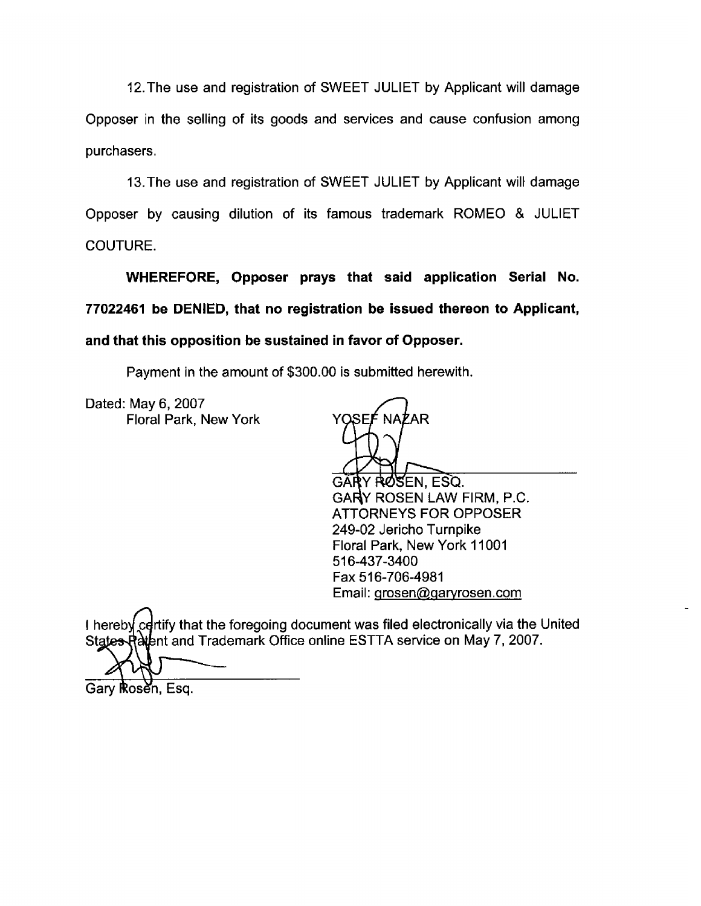12. The use and registration of SWEET JULIET by Applicant will damage Opposer in the selling of its goods and services and cause confusion among purchasers.

13. The use and registration of SWEET JULIET by Applicant will damage Opposer by causing dilution of its famous trademark ROMEO & JULIET COUTURE.

WHEREFORE, Opposer prays that said application Serial No. 77022461 be DENIED, that no registration be issued thereon to Applicant, and that this opposition be sustained in favor of Opposer.

Payment in the amount of \$300.00 is submitted herewith.

Dated: May 6, 2007 Floral Park, New York

YOSFÉ <sup>7</sup>AR

RØSEN. ESQ. GARY ROSEN LAW FIRM, P.C. **ATTORNEYS FOR OPPOSER** 249-02 Jericho Turnpike Floral Park, New York 11001 516-437-3400 Fax 516-706-4981 Email: grosen@garyrosen.com

I hereby certify that the foregoing document was filed electronically via the United States Ratent and Trademark Office online ESTTA service on May 7, 2007.

Gary Rosen, Esg.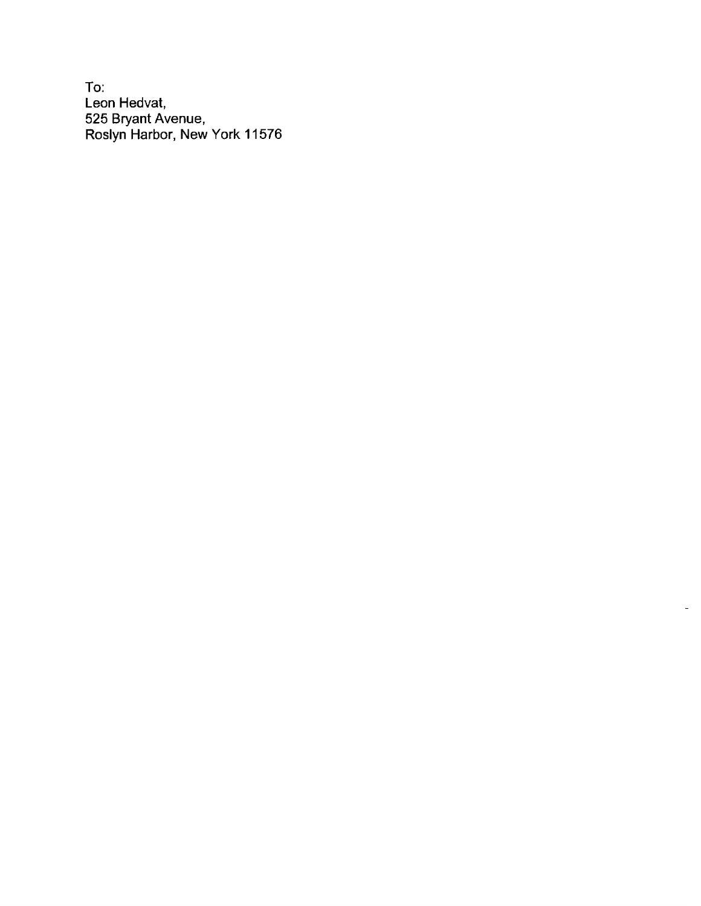To: Leon Hedvat, 525 Bryant Avenue,<br>Roslyn Harbor, New York 11576

 $\blacksquare$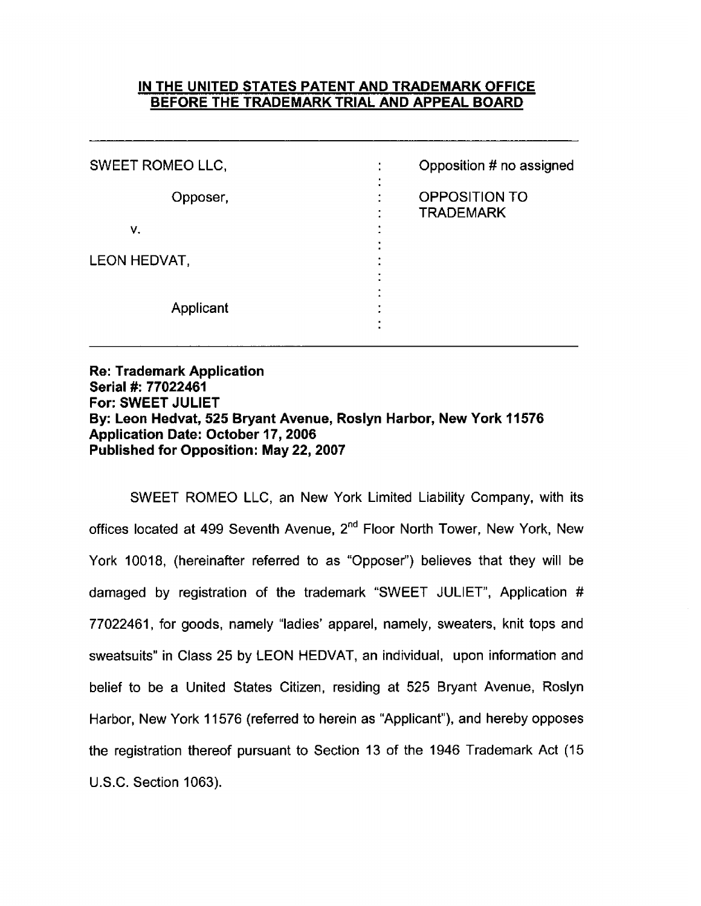### IN THE UNITED STATES PATENT AND TRADEMARK OFFICE BEFORE THE TRADEMARK TRIAL AND APPEAL BOARD

| SWEET ROMEO LLC, | Opposition # no assigned                       |
|------------------|------------------------------------------------|
| Opposer,         | $\bullet$<br>OPPOSITION TO<br><b>TRADEMARK</b> |
| ν.               |                                                |
| LEON HEDVAT,     |                                                |
| Applicant        |                                                |

**Re: Trademark Application** Serial #: 77022461 For: SWEET JULIET By: Leon Hedvat, 525 Bryant Avenue, Roslyn Harbor, New York 11576 **Application Date: October 17, 2006 Published for Opposition: May 22, 2007** 

SWEET ROMEO LLC, an New York Limited Liability Company, with its offices located at 499 Seventh Avenue, 2<sup>nd</sup> Floor North Tower, New York, New York 10018, (hereinafter referred to as "Opposer") believes that they will be damaged by registration of the trademark "SWEET JULIET", Application # 77022461, for goods, namely "ladies' apparel, namely, sweaters, knit tops and sweatsuits" in Class 25 by LEON HEDVAT, an individual, upon information and belief to be a United States Citizen, residing at 525 Bryant Avenue, Roslyn Harbor, New York 11576 (referred to herein as "Applicant"), and hereby opposes the registration thereof pursuant to Section 13 of the 1946 Trademark Act (15 U.S.C. Section 1063).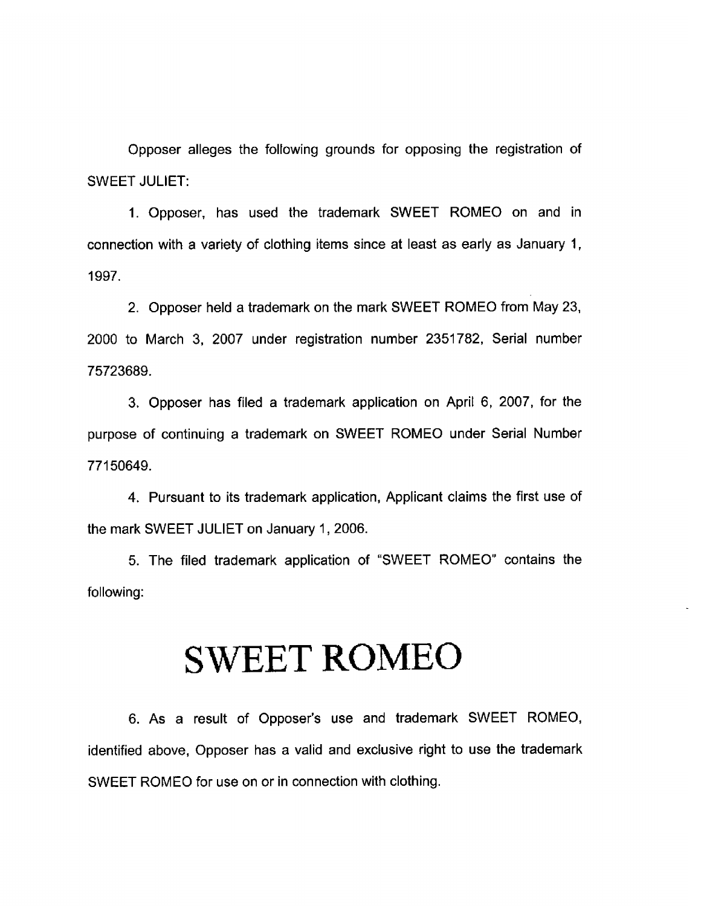Opposer alleges the following grounds for opposing the registration of **SWEET JULIET:** 

1. Opposer, has used the trademark SWEET ROMEO on and in connection with a variety of clothing items since at least as early as January 1, 1997.

2. Opposer held a trademark on the mark SWEET ROMEO from May 23, 2000 to March 3, 2007 under registration number 2351782, Serial number 75723689.

3. Opposer has filed a trademark application on April 6, 2007, for the purpose of continuing a trademark on SWEET ROMEO under Serial Number 77150649.

4. Pursuant to its trademark application, Applicant claims the first use of the mark SWEET JULIET on January 1, 2006.

5. The filed trademark application of "SWEET ROMEO" contains the following:

## **SWEET ROMEO**

6. As a result of Opposer's use and trademark SWEET ROMEO, identified above, Opposer has a valid and exclusive right to use the trademark SWEET ROMEO for use on or in connection with clothing.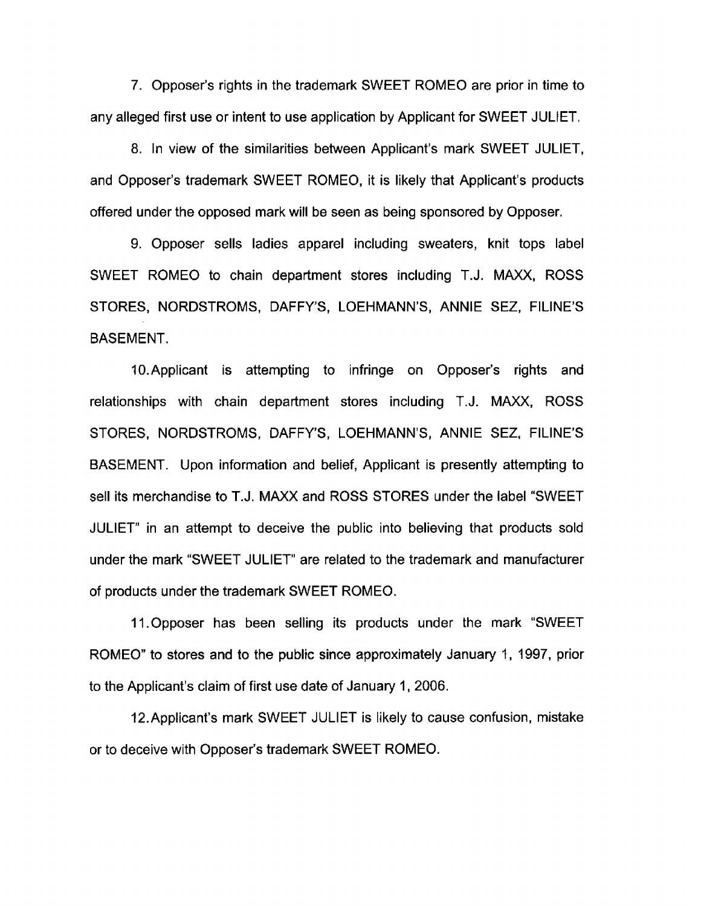7. Opposer's rights in the trademark SWEET ROMEO are prior in time to any alleged first use or intent to use application by Applicant for SWEET JULIET.

8. In view of the similarities between Applicant's mark SWEET JULIET. and Opposer's trademark SWEET ROMEO, it is likely that Applicant's products offered under the opposed mark will be seen as being sponsored by Opposer.

9. Opposer sells ladies apparel including sweaters, knit tops label SWEET ROMEO to chain department stores including T.J. MAXX, ROSS STORES, NORDSTROMS, DAFFY'S, LOEHMANN'S, ANNIE SEZ, FILINE'S **BASEMENT.** 

10. Applicant is attempting to infringe on Opposer's rights and relationships with chain department stores including T.J. MAXX, ROSS STORES, NORDSTROMS, DAFFY'S, LOEHMANN'S, ANNIE SEZ, FILINE'S BASEMENT. Upon information and belief, Applicant is presently attempting to sell its merchandise to T.J. MAXX and ROSS STORES under the label "SWEET JULIET" in an attempt to deceive the public into believing that products sold under the mark "SWEET JULIET" are related to the trademark and manufacturer of products under the trademark SWEET ROMEO.

11. Opposer has been selling its products under the mark "SWEET ROMEO" to stores and to the public since approximately January 1, 1997, prior to the Applicant's claim of first use date of January 1, 2006.

12. Applicant's mark SWEET JULIET is likely to cause confusion, mistake or to deceive with Opposer's trademark SWEET ROMEO.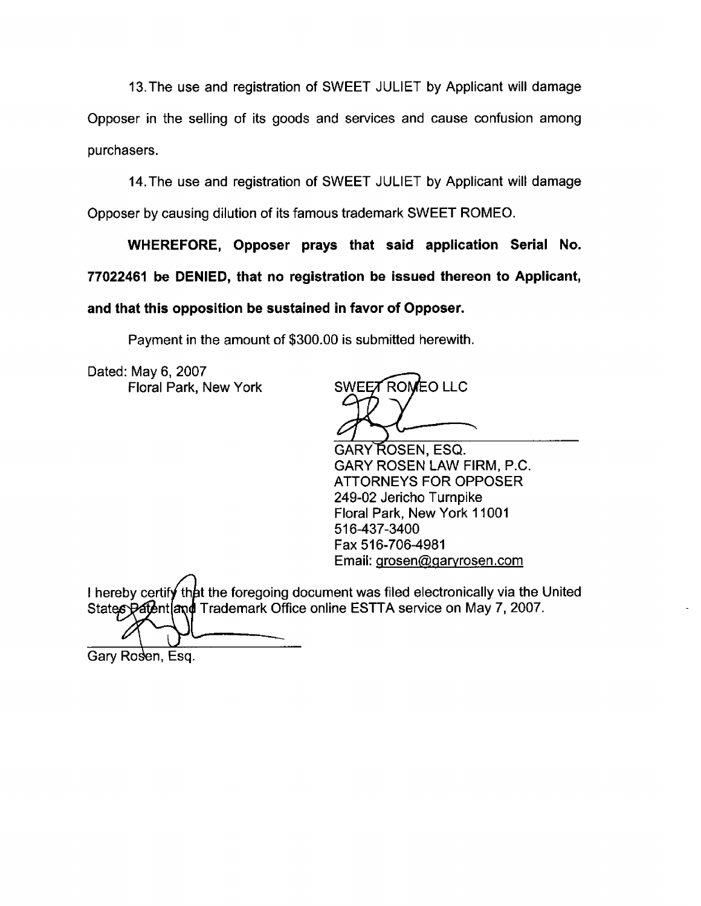13. The use and registration of SWEET JULIET by Applicant will damage Opposer in the selling of its goods and services and cause confusion among purchasers.

14. The use and registration of SWEET JULIET by Applicant will damage Opposer by causing dilution of its famous trademark SWEET ROMEO.

WHEREFORE, Opposer prays that said application Serial No. 77022461 be DENIED, that no registration be issued thereon to Applicant, and that this opposition be sustained in favor of Opposer.

Payment in the amount of \$300.00 is submitted herewith.

Dated: May 6, 2007 Floral Park, New York

SWEET ROMEO LLC

GARY ROSEN, ESQ. GARY ROSEN LAW FIRM, P.C. **ATTORNEYS FOR OPPOSER** 249-02 Jericho Turnpike Floral Park, New York 11001 516-437-3400 Fax 516-706-4981 Email: grosen@garyrosen.com

I hereby certify that the foregoing document was filed electronically via the United States Patent and Trademark Office online ESTTA service on May 7, 2007.

Gary Rosen, Esq.